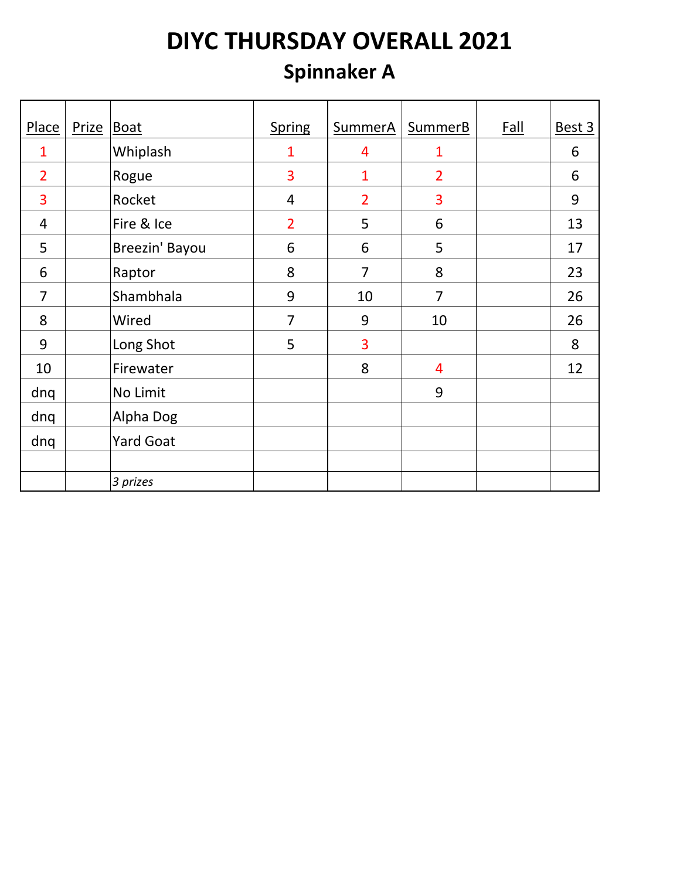#### **Spinnaker A**

| Place          | <b>Prize</b> | Boat             | <b>Spring</b>  | SummerA        | SummerB        | <b>Fall</b> | Best 3 |
|----------------|--------------|------------------|----------------|----------------|----------------|-------------|--------|
| 1              |              | Whiplash         | $\mathbf 1$    | 4              | 1              |             | 6      |
| $\overline{2}$ |              | Rogue            | 3              | $\mathbf{1}$   | $\overline{2}$ |             | 6      |
| 3              |              | Rocket           | 4              | $\overline{2}$ | 3              |             | 9      |
| $\overline{4}$ |              | Fire & Ice       | $\overline{2}$ | 5              | 6              |             | 13     |
| 5              |              | Breezin' Bayou   | 6              | 6              | 5              |             | 17     |
| 6              |              | Raptor           | 8              | $\overline{7}$ | 8              |             | 23     |
| $\overline{7}$ |              | Shambhala        | 9              | 10             | 7              |             | 26     |
| 8              |              | Wired            | $\overline{7}$ | 9              | 10             |             | 26     |
| 9              |              | Long Shot        | 5              | 3              |                |             | 8      |
| 10             |              | Firewater        |                | 8              | 4              |             | 12     |
| dnq            |              | No Limit         |                |                | 9              |             |        |
| dnq            |              | Alpha Dog        |                |                |                |             |        |
| dnq            |              | <b>Yard Goat</b> |                |                |                |             |        |
|                |              |                  |                |                |                |             |        |
|                |              | 3 prizes         |                |                |                |             |        |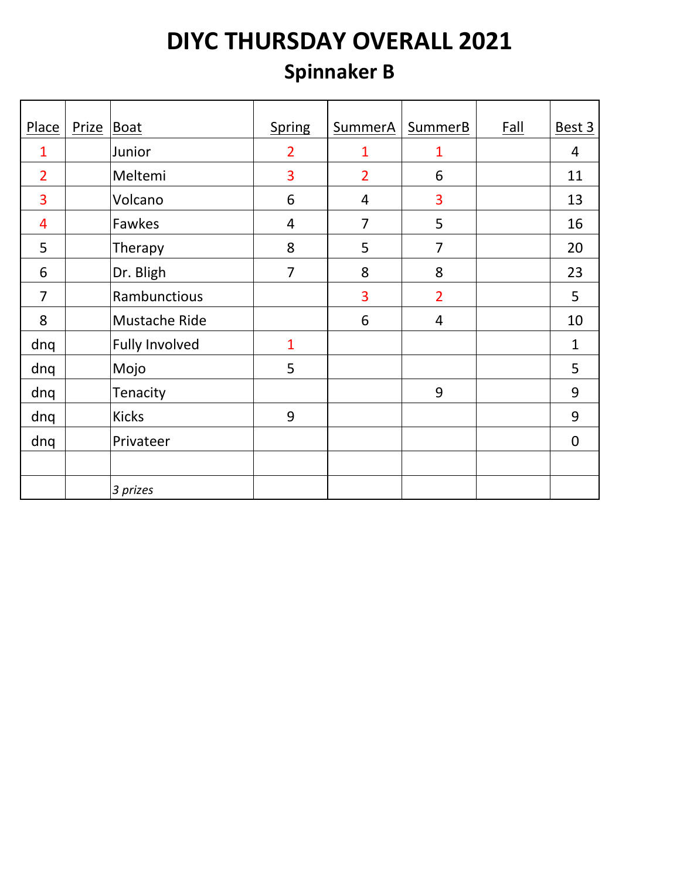#### **Spinnaker B**

| Place          | Prize | <b>Boat</b>           | <b>Spring</b>  | SummerA        | <b>SummerB</b> | <b>Fall</b> | Best 3         |
|----------------|-------|-----------------------|----------------|----------------|----------------|-------------|----------------|
| 1              |       | Junior                | $\overline{2}$ | $\overline{1}$ | $\mathbf{1}$   |             | $\overline{4}$ |
| $\overline{2}$ |       | Meltemi               | 3              | $\overline{2}$ | 6              |             | 11             |
| 3              |       | Volcano               | 6              | 4              | 3              |             | 13             |
| 4              |       | Fawkes                | 4              | $\overline{7}$ | 5              |             | 16             |
| 5              |       | Therapy               | 8              | 5              | $\overline{7}$ |             | 20             |
| 6              |       | Dr. Bligh             | $\overline{7}$ | 8              | 8              |             | 23             |
| $\overline{7}$ |       | Rambunctious          |                | 3              | $\overline{2}$ |             | 5              |
| 8              |       | Mustache Ride         |                | 6              | $\overline{4}$ |             | 10             |
| dnq            |       | <b>Fully Involved</b> | $\mathbf{1}$   |                |                |             | $\mathbf{1}$   |
| dnq            |       | Mojo                  | 5              |                |                |             | 5              |
| dnq            |       | Tenacity              |                |                | 9              |             | 9              |
| dnq            |       | <b>Kicks</b>          | 9              |                |                |             | 9              |
| dnq            |       | Privateer             |                |                |                |             | $\overline{0}$ |
|                |       |                       |                |                |                |             |                |
|                |       | 3 prizes              |                |                |                |             |                |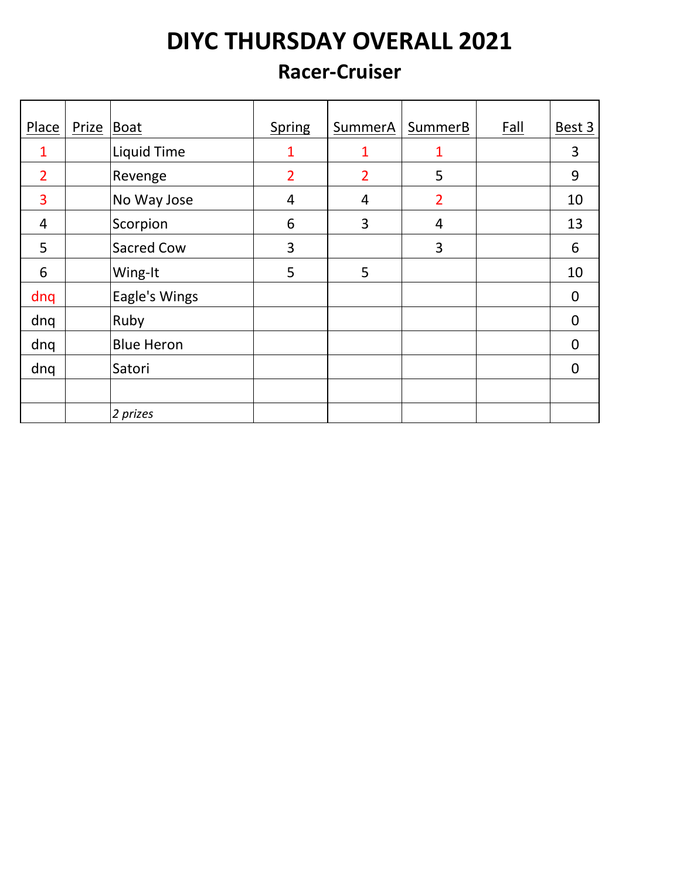#### **Racer-Cruiser**

| Place          | Prize   Boat |                    | <b>Spring</b>  | SummerA        | SummerB        | <b>Fall</b> | Best 3      |
|----------------|--------------|--------------------|----------------|----------------|----------------|-------------|-------------|
| 1              |              | <b>Liquid Time</b> | 1              | 1              | 1              |             | 3           |
| $\overline{2}$ |              | Revenge            | $\overline{2}$ | $\overline{2}$ | 5              |             | 9           |
| 3              |              | No Way Jose        | $\overline{4}$ | 4              | $\overline{2}$ |             | 10          |
| 4              |              | Scorpion           | 6              | 3              | 4              |             | 13          |
| 5              |              | Sacred Cow         | 3              |                | 3              |             | 6           |
| 6              |              | Wing-It            | 5              | 5              |                |             | 10          |
| dnq            |              | Eagle's Wings      |                |                |                |             | 0           |
| dnq            |              | Ruby               |                |                |                |             | $\mathbf 0$ |
| dnq            |              | <b>Blue Heron</b>  |                |                |                |             | $\mathbf 0$ |
| dnq            |              | Satori             |                |                |                |             | $\mathbf 0$ |
|                |              |                    |                |                |                |             |             |
|                |              | 2 prizes           |                |                |                |             |             |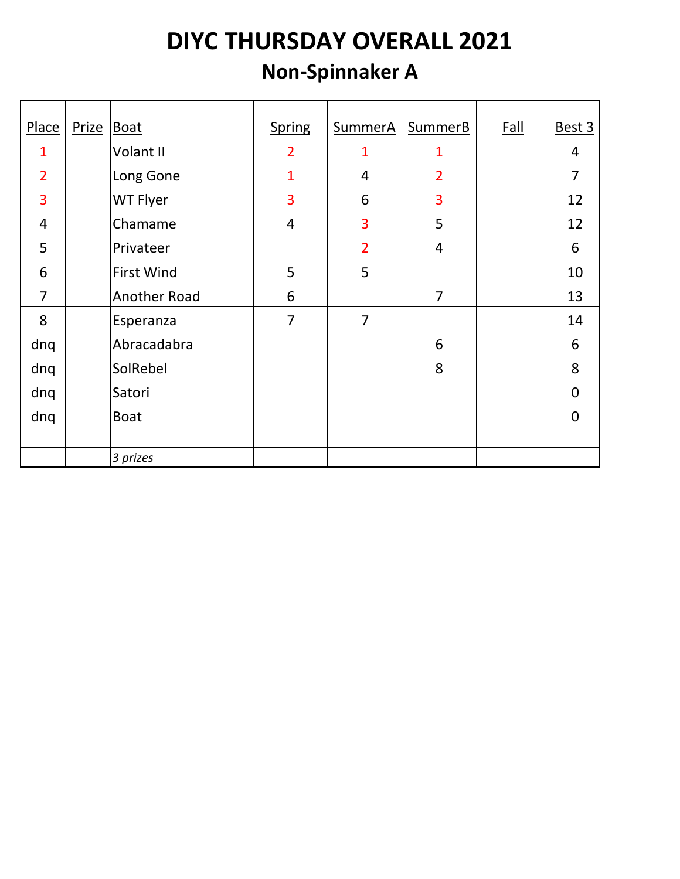#### **Non-Spinnaker A**

| Place          | Prize | Boat                | <b>Spring</b>  | SummerA        | SummerB        | <b>Fall</b> | Best 3         |
|----------------|-------|---------------------|----------------|----------------|----------------|-------------|----------------|
| 1              |       | Volant II           | $\overline{2}$ | 1              | 1              |             | 4              |
| $\overline{2}$ |       | Long Gone           | 1              | $\overline{4}$ | $\overline{2}$ |             | $\overline{7}$ |
| 3              |       | WT Flyer            | 3              | 6              | 3              |             | 12             |
| $\overline{4}$ |       | Chamame             | 4              | 3              | 5              |             | 12             |
| 5              |       | Privateer           |                | $\overline{2}$ | $\overline{4}$ |             | 6              |
| 6              |       | <b>First Wind</b>   | 5              | 5              |                |             | 10             |
| $\overline{7}$ |       | <b>Another Road</b> | 6              |                | $\overline{7}$ |             | 13             |
| 8              |       | Esperanza           | $\overline{7}$ | $\overline{7}$ |                |             | 14             |
| dnq            |       | Abracadabra         |                |                | 6              |             | 6              |
| dnq            |       | SolRebel            |                |                | 8              |             | 8              |
| dnq            |       | Satori              |                |                |                |             | $\overline{0}$ |
| dnq            |       | <b>Boat</b>         |                |                |                |             | $\overline{0}$ |
|                |       |                     |                |                |                |             |                |
|                |       | 3 prizes            |                |                |                |             |                |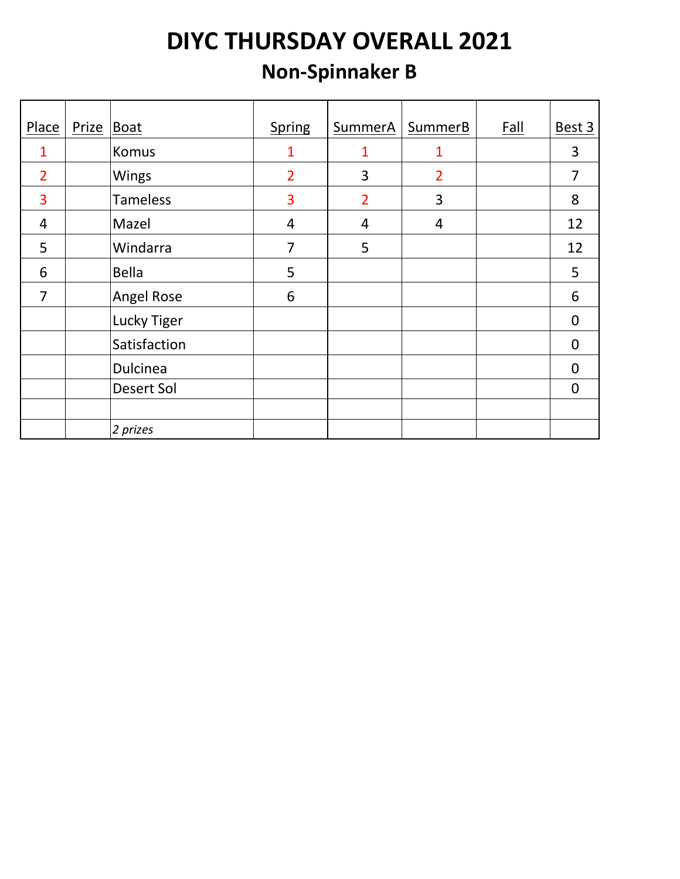#### **Non-Spinnaker B**

| Place          | Prize Boat |                   | <b>Spring</b>  | SummerA        | SummerB        | Fall | Best 3         |
|----------------|------------|-------------------|----------------|----------------|----------------|------|----------------|
|                |            |                   |                |                |                |      |                |
|                |            | Komus             | 1              | 1              | 1              |      | 3              |
| $\overline{2}$ |            | Wings             | $\overline{2}$ | 3              | $\overline{2}$ |      | $\overline{7}$ |
| 3              |            | <b>Tameless</b>   | 3              | $\overline{2}$ | 3              |      | 8              |
| $\overline{4}$ |            | Mazel             | $\overline{4}$ | 4              | $\overline{4}$ |      | 12             |
| 5              |            | Windarra          | $\overline{7}$ | 5              |                |      | 12             |
| 6              |            | <b>Bella</b>      | 5              |                |                |      | 5              |
| 7              |            | <b>Angel Rose</b> | 6              |                |                |      | 6              |
|                |            | Lucky Tiger       |                |                |                |      | $\mathbf 0$    |
|                |            | Satisfaction      |                |                |                |      | 0              |
|                |            | Dulcinea          |                |                |                |      | 0              |
|                |            | <b>Desert Sol</b> |                |                |                |      | 0              |
|                |            |                   |                |                |                |      |                |
|                |            | 2 prizes          |                |                |                |      |                |